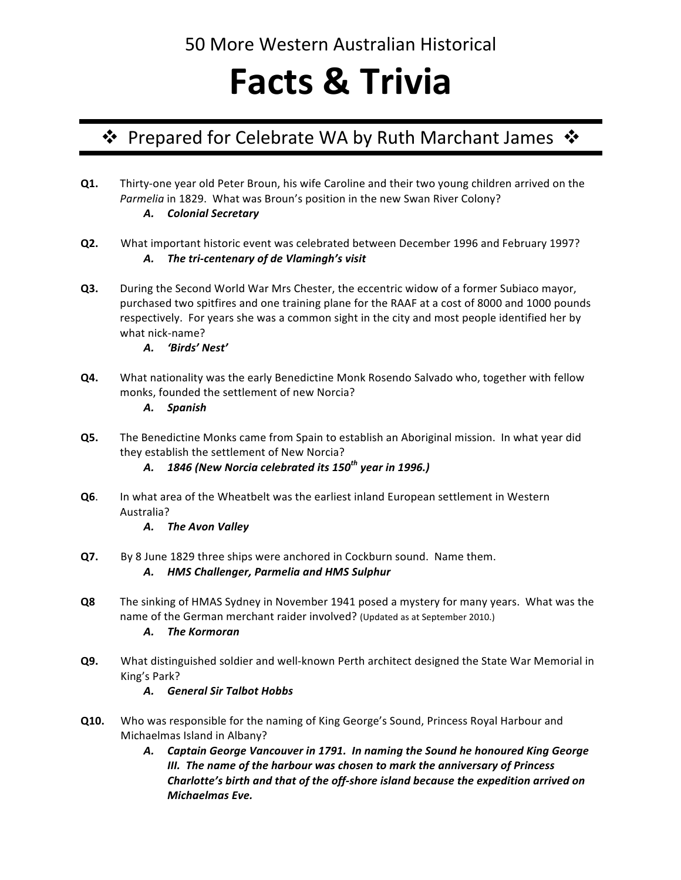# **Facts & Trivia**

# ❖ Prepared for Celebrate WA by Ruth Marchant James ❖

- **Q1.** Thirty-one year old Peter Broun, his wife Caroline and their two young children arrived on the Parmelia in 1829. What was Broun's position in the new Swan River Colony? *A. Colonial Secretary*
- **Q2.** What important historic event was celebrated between December 1996 and February 1997? A. The tri-centenary of de Vlamingh's visit
- **Q3.** During the Second World War Mrs Chester, the eccentric widow of a former Subiaco mayor, purchased two spitfires and one training plane for the RAAF at a cost of 8000 and 1000 pounds respectively. For years she was a common sight in the city and most people identified her by what nick-name?
	- *A. 'Birds' Nest'*
- **Q4.** What nationality was the early Benedictine Monk Rosendo Salvado who, together with fellow monks, founded the settlement of new Norcia?

#### *A. Spanish*

- **Q5.** The Benedictine Monks came from Spain to establish an Aboriginal mission. In what year did they establish the settlement of New Norcia?
	- *A. 1846 (New Norcia celebrated its 150th year in 1996.)*
- **Q6.** In what area of the Wheatbelt was the earliest inland European settlement in Western Australia?
	- *A. The Avon Valley*
- **Q7.** By 8 June 1829 three ships were anchored in Cockburn sound. Name them.

#### *A. HMS Challenger, Parmelia and HMS Sulphur*

**Q8** The sinking of HMAS Sydney in November 1941 posed a mystery for many years. What was the name of the German merchant raider involved? (Updated as at September 2010.)

### *A. The Kormoran*

**Q9.** What distinguished soldier and well-known Perth architect designed the State War Memorial in King's Park?

### *A. General Sir Talbot Hobbs*

- **Q10.** Who was responsible for the naming of King George's Sound, Princess Royal Harbour and Michaelmas Island in Albany?
	- A. Captain George Vancouver in 1791. In naming the Sound he honoured King George *III.* The name of the harbour was chosen to mark the anniversary of Princess *Charlotte's birth and that of the off-shore island because the expedition arrived on Michaelmas Eve.*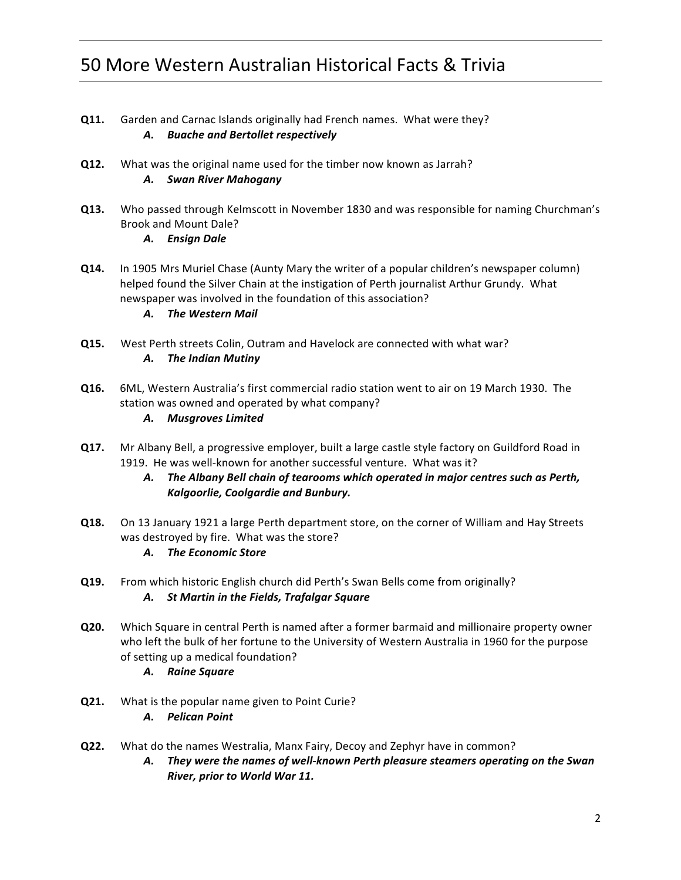- **Q11.** Garden and Carnac Islands originally had French names. What were they? *A. Buache and Bertollet respectively*
- **Q12.** What was the original name used for the timber now known as Jarrah? *A. Swan River Mahogany*
- **Q13.** Who passed through Kelmscott in November 1830 and was responsible for naming Churchman's Brook and Mount Dale?
	- *A. Ensign Dale*
- **Q14.** In 1905 Mrs Muriel Chase (Aunty Mary the writer of a popular children's newspaper column) helped found the Silver Chain at the instigation of Perth journalist Arthur Grundy. What newspaper was involved in the foundation of this association?
	- *A. The Western Mail*
- **Q15.** West Perth streets Colin, Outram and Havelock are connected with what war? A. The Indian Mutiny
- **Q16.** 6ML, Western Australia's first commercial radio station went to air on 19 March 1930. The station was owned and operated by what company?
	- *A. Musgroves Limited*
- **Q17.** Mr Albany Bell, a progressive employer, built a large castle style factory on Guildford Road in 1919. He was well-known for another successful venture. What was it?
	- A. The Albany Bell chain of tearooms which operated in major centres such as Perth, **Kalgoorlie, Coolgardie and Bunbury.**
- **Q18.** On 13 January 1921 a large Perth department store, on the corner of William and Hay Streets was destroyed by fire. What was the store?
	- *A. The Economic Store*
- **Q19.** From which historic English church did Perth's Swan Bells come from originally? *A. St Martin in the Fields, Trafalgar Square*
- **Q20.** Which Square in central Perth is named after a former barmaid and millionaire property owner who left the bulk of her fortune to the University of Western Australia in 1960 for the purpose of setting up a medical foundation?
	- *A. Raine Square*
- **Q21.** What is the popular name given to Point Curie? *A. Pelican Point*
- **Q22.** What do the names Westralia, Manx Fairy, Decoy and Zephyr have in common?
	- A. They were the names of well-known Perth pleasure steamers operating on the Swan *River, prior to World War 11.*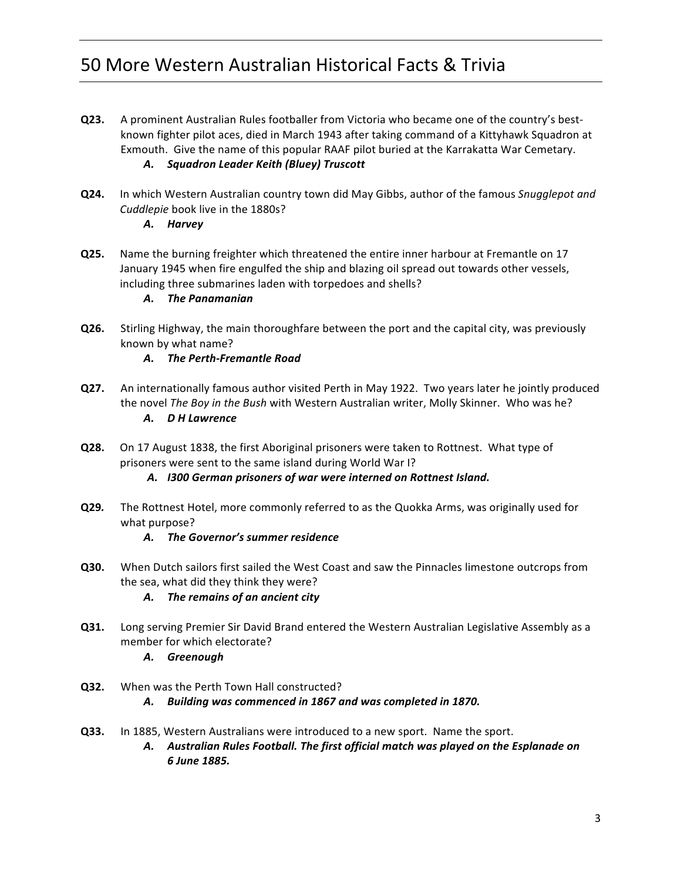- **Q23.** A prominent Australian Rules footballer from Victoria who became one of the country's bestknown fighter pilot aces, died in March 1943 after taking command of a Kittyhawk Squadron at Exmouth. Give the name of this popular RAAF pilot buried at the Karrakatta War Cemetary. *A. Squadron Leader Keith (Bluey) Truscott*
- **Q24.** In which Western Australian country town did May Gibbs, author of the famous *Snugglepot and Cuddlepie* book live in the 1880s?

#### *A. Harvey*

**Q25.** Name the burning freighter which threatened the entire inner harbour at Fremantle on 17 January 1945 when fire engulfed the ship and blazing oil spread out towards other vessels, including three submarines laden with torpedoes and shells?

#### *A. The Panamanian*

- **Q26.** Stirling Highway, the main thoroughfare between the port and the capital city, was previously known by what name?
	- *A. The Perth-Fremantle Road*
- **Q27.** An internationally famous author visited Perth in May 1922. Two years later he jointly produced the novel *The Boy in the Bush* with Western Australian writer, Molly Skinner. Who was he? *A. D H Lawrence*
- **Q28.** On 17 August 1838, the first Aboriginal prisoners were taken to Rottnest. What type of prisoners were sent to the same island during World War I?
	- *A. I300 German prisoners of war were interned on Rottnest Island.*
- **Q29.** The Rottnest Hotel, more commonly referred to as the Quokka Arms, was originally used for what purpose?

#### A. The Governor's summer residence

**Q30.** When Dutch sailors first sailed the West Coast and saw the Pinnacles limestone outcrops from the sea, what did they think they were?

### A. The remains of an ancient city

- **Q31.** Long serving Premier Sir David Brand entered the Western Australian Legislative Assembly as a member for which electorate?
	- *A. Greenough*
- **Q32.** When was the Perth Town Hall constructed?

#### A. Building was commenced in 1867 and was completed in 1870.

**Q33.** In 1885, Western Australians were introduced to a new sport. Name the sport. A. Australian Rules Football. The first official match was played on the Esplanade on *6 June 1885.*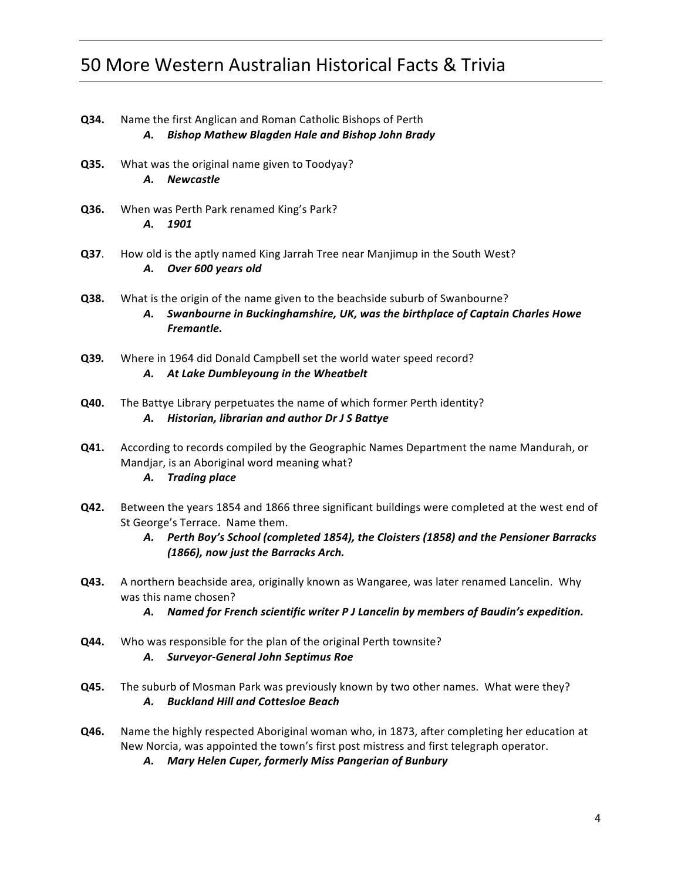- **Q34.** Name the first Anglican and Roman Catholic Bishops of Perth *A. Bishop Mathew Blagden Hale and Bishop John Brady*
- **Q35.** What was the original name given to Toodyay? *A. Newcastle*
- **Q36.** When was Perth Park renamed King's Park? *A. 1901*
- **Q37.** How old is the aptly named King Jarrah Tree near Manjimup in the South West? *A. Over 600 years old*
- **Q38.** What is the origin of the name given to the beachside suburb of Swanbourne? A. Swanbourne in Buckinghamshire, UK, was the birthplace of Captain Charles Howe *Fremantle.*
- **Q39.** Where in 1964 did Donald Campbell set the world water speed record? A. At Lake Dumbleyoung in the Wheatbelt
- **Q40.** The Battye Library perpetuates the name of which former Perth identity? *A. Historian, librarian and author Dr J S Battye*
- **Q41.** According to records compiled by the Geographic Names Department the name Mandurah, or Mandjar, is an Aboriginal word meaning what?
	- *A. Trading place*
- **Q42.** Between the years 1854 and 1866 three significant buildings were completed at the west end of St George's Terrace. Name them.
	- A. Perth Boy's School (completed 1854), the Cloisters (1858) and the Pensioner Barracks *(1866), now just the Barracks Arch.*
- **Q43.** A northern beachside area, originally known as Wangaree, was later renamed Lancelin. Why was this name chosen?
	- A. Named for French scientific writer P J Lancelin by members of Baudin's expedition.
- **Q44.** Who was responsible for the plan of the original Perth townsite? *A. Surveyor-General John Septimus Roe*
- **Q45.** The suburb of Mosman Park was previously known by two other names. What were they? *A. Buckland Hill and Cottesloe Beach*
- **Q46.** Name the highly respected Aboriginal woman who, in 1873, after completing her education at New Norcia, was appointed the town's first post mistress and first telegraph operator.
	- *A. Mary Helen Cuper, formerly Miss Pangerian of Bunbury*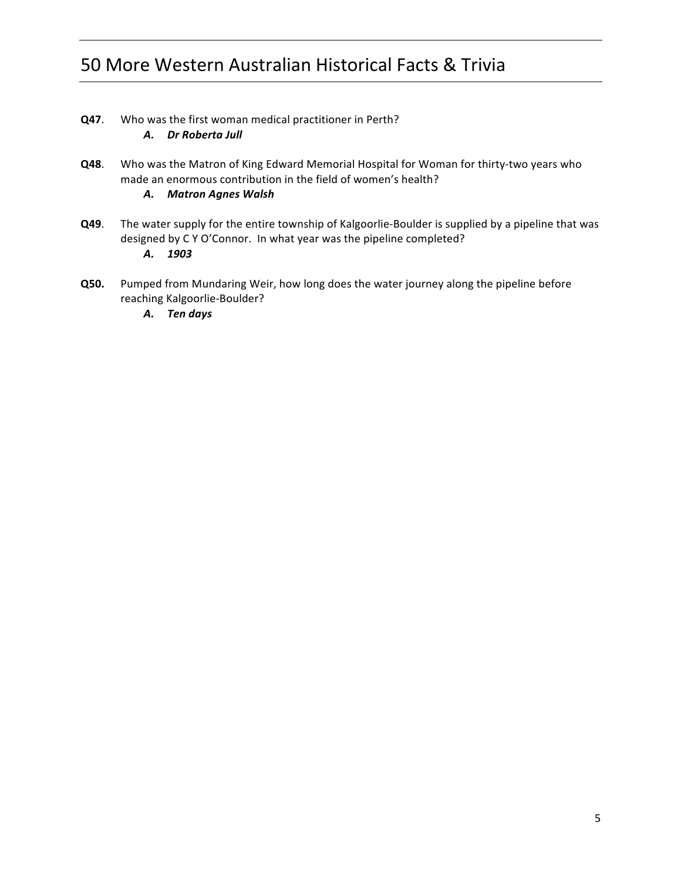- **Q47**. Who was the first woman medical practitioner in Perth? *A. Dr Roberta Jull*
- **Q48**. Who was the Matron of King Edward Memorial Hospital for Woman for thirty-two years who made an enormous contribution in the field of women's health?

### *A. Matron Agnes Walsh*

- **Q49**. The water supply for the entire township of Kalgoorlie-Boulder is supplied by a pipeline that was designed by C Y O'Connor. In what year was the pipeline completed? *A. 1903*
- **Q50.** Pumped from Mundaring Weir, how long does the water journey along the pipeline before reaching Kalgoorlie-Boulder?
	- *A. Ten days*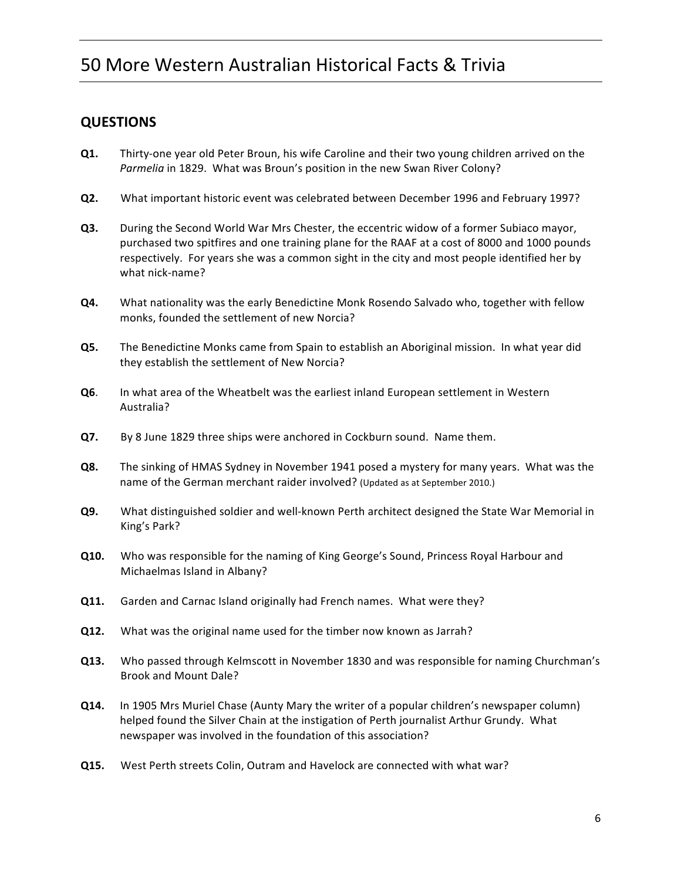### **QUESTIONS**

- **Q1.** Thirty-one year old Peter Broun, his wife Caroline and their two young children arrived on the Parmelia in 1829. What was Broun's position in the new Swan River Colony?
- **Q2.** What important historic event was celebrated between December 1996 and February 1997?
- **Q3.** During the Second World War Mrs Chester, the eccentric widow of a former Subiaco mayor, purchased two spitfires and one training plane for the RAAF at a cost of 8000 and 1000 pounds respectively. For years she was a common sight in the city and most people identified her by what nick-name?
- **Q4.** What nationality was the early Benedictine Monk Rosendo Salvado who, together with fellow monks, founded the settlement of new Norcia?
- **Q5.** The Benedictine Monks came from Spain to establish an Aboriginal mission. In what year did they establish the settlement of New Norcia?
- **Q6.** In what area of the Wheatbelt was the earliest inland European settlement in Western Australia?
- **Q7.** By 8 June 1829 three ships were anchored in Cockburn sound. Name them.
- **Q8.** The sinking of HMAS Sydney in November 1941 posed a mystery for many years. What was the name of the German merchant raider involved? (Updated as at September 2010.)
- **Q9.** What distinguished soldier and well-known Perth architect designed the State War Memorial in King's Park?
- **Q10.** Who was responsible for the naming of King George's Sound, Princess Royal Harbour and Michaelmas Island in Albany?
- **Q11.** Garden and Carnac Island originally had French names. What were they?
- **Q12.** What was the original name used for the timber now known as Jarrah?
- **Q13.** Who passed through Kelmscott in November 1830 and was responsible for naming Churchman's Brook and Mount Dale?
- **Q14.** In 1905 Mrs Muriel Chase (Aunty Mary the writer of a popular children's newspaper column) helped found the Silver Chain at the instigation of Perth journalist Arthur Grundy. What newspaper was involved in the foundation of this association?
- **Q15.** West Perth streets Colin, Outram and Havelock are connected with what war?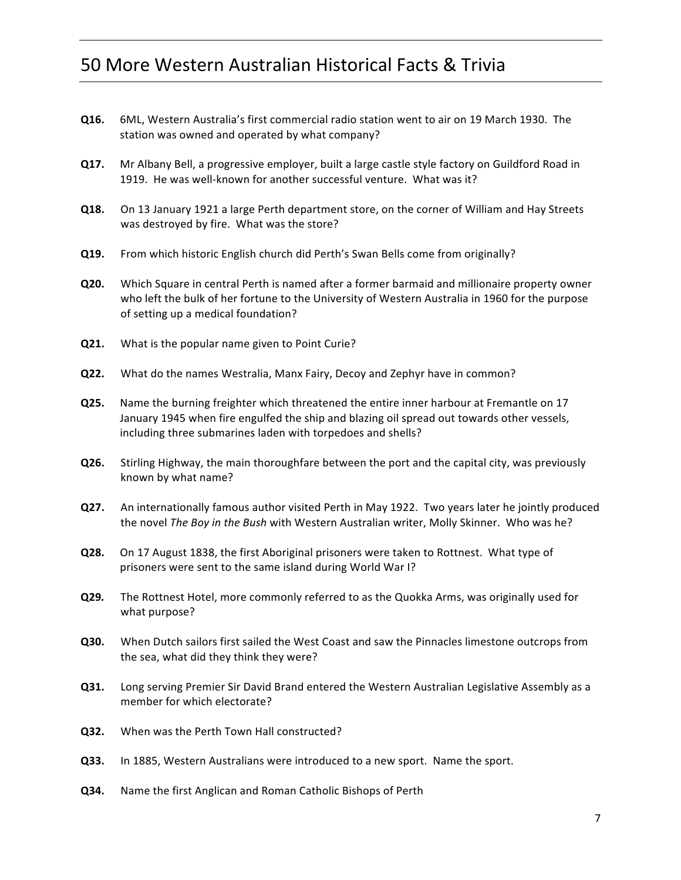- **Q16.** 6ML, Western Australia's first commercial radio station went to air on 19 March 1930. The station was owned and operated by what company?
- **Q17.** Mr Albany Bell, a progressive employer, built a large castle style factory on Guildford Road in 1919. He was well-known for another successful venture. What was it?
- **Q18.** On 13 January 1921 a large Perth department store, on the corner of William and Hay Streets was destroyed by fire. What was the store?
- **Q19.** From which historic English church did Perth's Swan Bells come from originally?
- **Q20.** Which Square in central Perth is named after a former barmaid and millionaire property owner who left the bulk of her fortune to the University of Western Australia in 1960 for the purpose of setting up a medical foundation?
- **Q21.** What is the popular name given to Point Curie?
- **Q22.** What do the names Westralia, Manx Fairy, Decoy and Zephyr have in common?
- **Q25.** Name the burning freighter which threatened the entire inner harbour at Fremantle on 17 January 1945 when fire engulfed the ship and blazing oil spread out towards other vessels, including three submarines laden with torpedoes and shells?
- **Q26.** Stirling Highway, the main thoroughfare between the port and the capital city, was previously known by what name?
- **Q27.** An internationally famous author visited Perth in May 1922. Two years later he jointly produced the novel *The Boy in the Bush* with Western Australian writer, Molly Skinner. Who was he?
- **Q28.** On 17 August 1838, the first Aboriginal prisoners were taken to Rottnest. What type of prisoners were sent to the same island during World War I?
- **Q29.** The Rottnest Hotel, more commonly referred to as the Quokka Arms, was originally used for what purpose?
- **Q30.** When Dutch sailors first sailed the West Coast and saw the Pinnacles limestone outcrops from the sea, what did they think they were?
- **Q31.** Long serving Premier Sir David Brand entered the Western Australian Legislative Assembly as a member for which electorate?
- **Q32.** When was the Perth Town Hall constructed?
- **Q33.** In 1885, Western Australians were introduced to a new sport. Name the sport.
- **Q34.** Name the first Anglican and Roman Catholic Bishops of Perth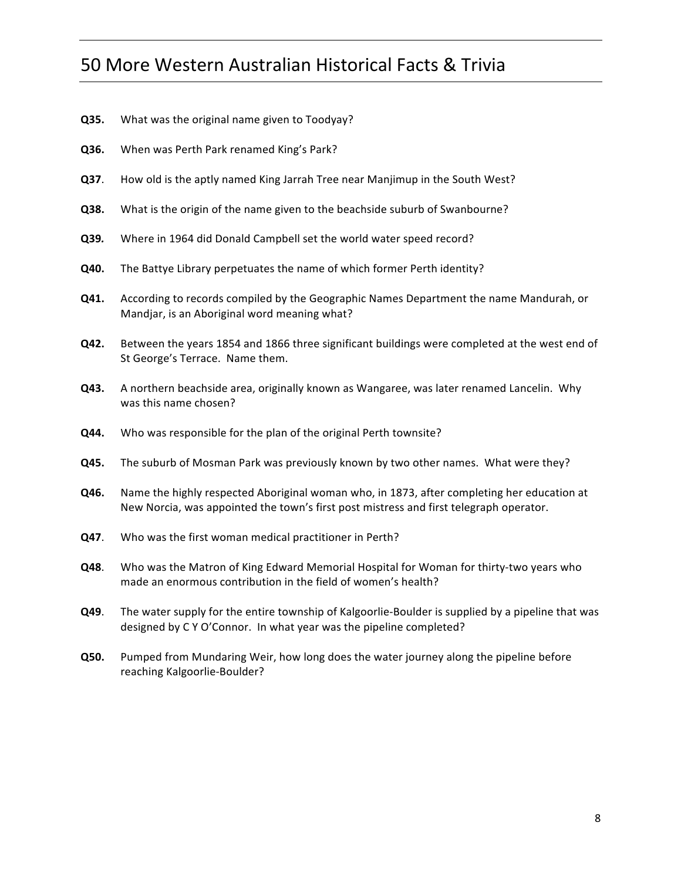- **Q35.** What was the original name given to Toodyay?
- **Q36.** When was Perth Park renamed King's Park?
- **Q37.** How old is the aptly named King Jarrah Tree near Manjimup in the South West?
- **Q38.** What is the origin of the name given to the beachside suburb of Swanbourne?
- **Q39.** Where in 1964 did Donald Campbell set the world water speed record?
- **Q40.** The Battye Library perpetuates the name of which former Perth identity?
- **Q41.** According to records compiled by the Geographic Names Department the name Mandurah, or Mandjar, is an Aboriginal word meaning what?
- **Q42.** Between the years 1854 and 1866 three significant buildings were completed at the west end of St George's Terrace. Name them.
- **Q43.** A northern beachside area, originally known as Wangaree, was later renamed Lancelin. Why was this name chosen?
- **Q44.** Who was responsible for the plan of the original Perth townsite?
- **Q45.** The suburb of Mosman Park was previously known by two other names. What were they?
- **Q46.** Name the highly respected Aboriginal woman who, in 1873, after completing her education at New Norcia, was appointed the town's first post mistress and first telegraph operator.
- **Q47**. Who was the first woman medical practitioner in Perth?
- **Q48**. Who was the Matron of King Edward Memorial Hospital for Woman for thirty-two years who made an enormous contribution in the field of women's health?
- **Q49**. The water supply for the entire township of Kalgoorlie-Boulder is supplied by a pipeline that was designed by C Y O'Connor. In what year was the pipeline completed?
- **Q50.** Pumped from Mundaring Weir, how long does the water journey along the pipeline before reaching Kalgoorlie-Boulder?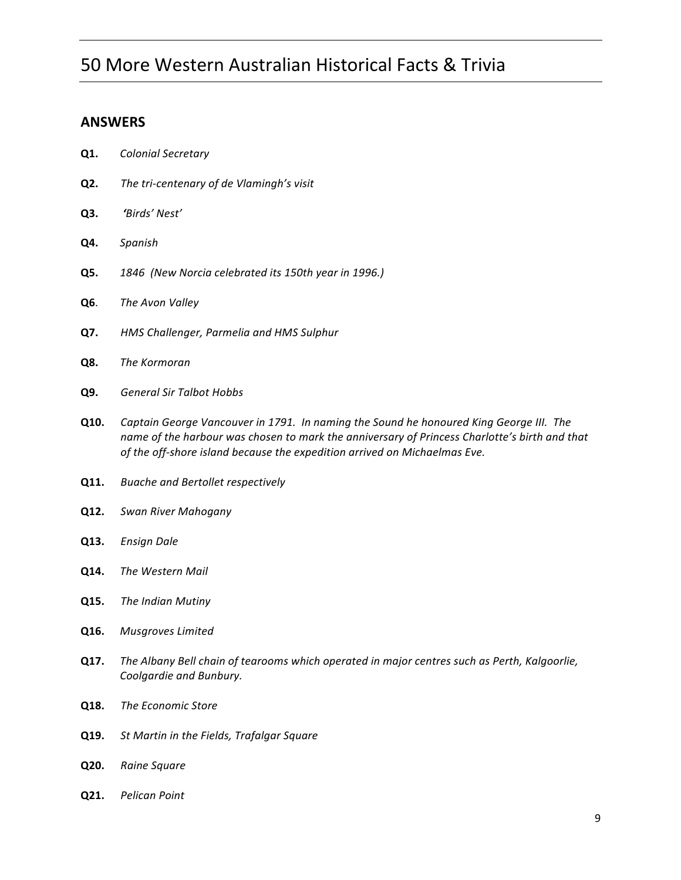### **ANSWERS**

- **Q1.** *Colonial Secretary*
- **Q2.** The tri-centenary of de Vlamingh's visit
- **Q3.** *'Birds' Nest'*
- **Q4.** *Spanish*
- **Q5. 1846** (New Norcia celebrated its 150th year in 1996.)
- **Q6.** *The Avon Valley*
- **Q7.** *HMS Challenger, Parmelia and HMS Sulphur*
- **Q8.** *The Kormoran*
- **Q9.** *General Sir Talbot Hobbs*
- **Q10.** *Captain George Vancouver in 1791. In naming the Sound he honoured King George III. The name of the harbour was chosen to mark the anniversary of Princess Charlotte's birth and that* of the off-shore island because the expedition arrived on Michaelmas Eve.
- **Q11.** Buache and Bertollet respectively
- **Q12.** *Swan River Mahogany*
- **Q13.** *Ensign Dale*
- **Q14.** The Western Mail
- **Q15.** The Indian Mutiny
- **Q16.** *Musgroves Limited*
- **Q17.** The Albany Bell chain of tearooms which operated in major centres such as Perth, Kalgoorlie, Coolgardie and Bunbury.
- **Q18.** The Economic Store
- **Q19.** St Martin in the Fields, Trafalgar Square
- **Q20.** *Raine Square*
- **Q21.** *Pelican Point*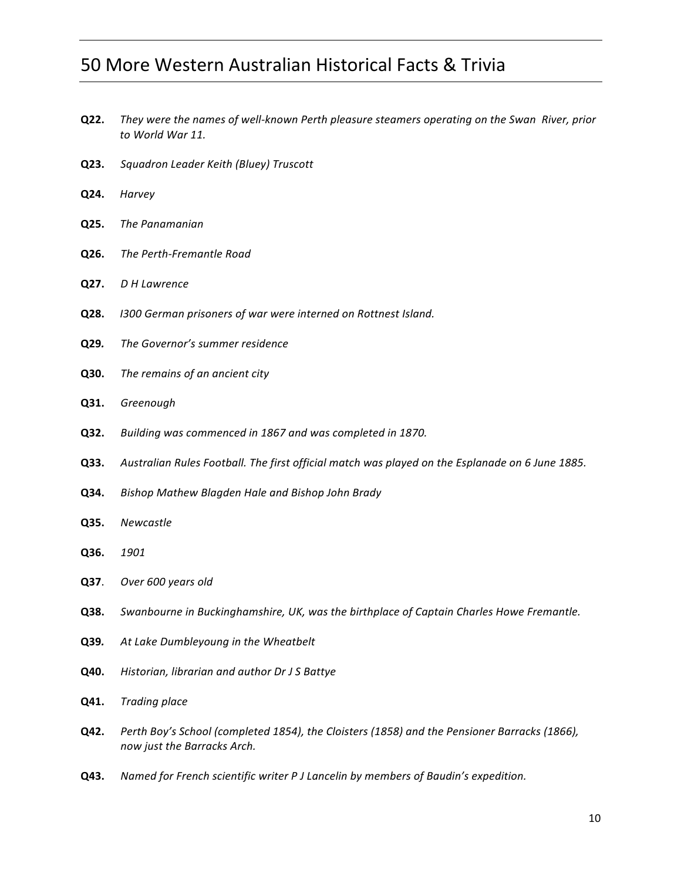- **Q22.** They were the names of well-known Perth pleasure steamers operating on the Swan River, prior *to World War 11.*
- **Q23.** *Squadron Leader Keith (Bluey) Truscott*
- **Q24.** *Harvey*
- **Q25.** The Panamanian
- **Q26.** The Perth-Fremantle Road
- **Q27.** *D H Lawrence*
- **Q28.** *I300 German prisoners of war were interned on Rottnest Island.*
- **Q29.** The Governor's summer residence
- **Q30.** The remains of an ancient city
- **Q31.** *Greenough*
- **Q32.** *Building was commenced in 1867 and was completed in 1870.*
- **Q33.** Australian Rules Football. The first official match was played on the Esplanade on 6 June 1885.
- **Q34.** Bishop Mathew Blagden Hale and Bishop John Brady
- **Q35.** *Newcastle*
- **Q36.** *1901*
- **Q37**. *Over* 600 years old
- **Q38.** Swanbourne in Buckinghamshire, UK, was the birthplace of Captain Charles Howe Fremantle.
- **Q39.** At Lake Dumbleyoung in the Wheatbelt
- **Q40.** Historian, librarian and author Dr J S Battye
- **Q41.** *Trading place*
- **Q42.** Perth Boy's School (completed 1854), the Cloisters (1858) and the Pensioner Barracks (1866), *now just the Barracks Arch.*
- **Q43.** Named for French scientific writer P J Lancelin by members of Baudin's expedition.